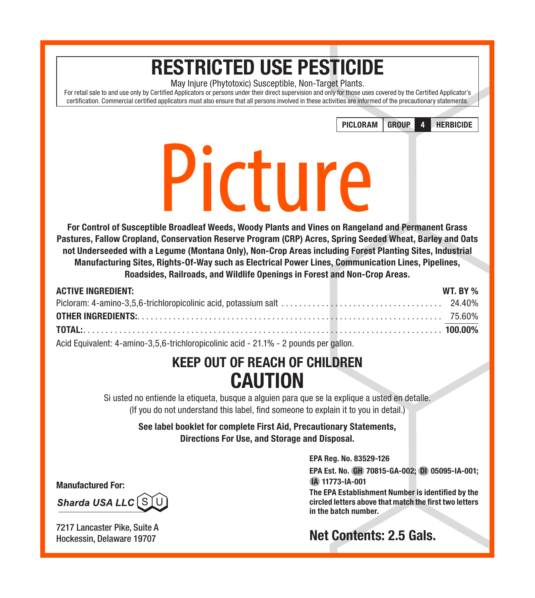# RESTRICTED USE PESTICIDE

May Injure (Phytotoxic) Susceptible, Non-Target Plants.

For retail sale to and use only by Certified Applicators or persons under their direct supervision and only for those uses covered by the Certified Applicator's certification. Commercial certified applicators must also ensure that all persons involved in these activities are informed of the precautionary statements.

PICLORAM GROUP 4 HERBICIDE



# Picture

For Control of Susceptible Broadleaf Weeds, Woody Plants and Vines on Rangeland and Permanent Grass Pastures, Fallow Cropland, Conservation Reserve Program (CRP) Acres, Spring Seeded Wheat, Barley and Oats not Underseeded with a Legume (Montana Only), Non-Crop Areas including Forest Planting Sites, Industrial Manufacturing Sites, Rights-Of-Way such as Electrical Power Lines, Communication Lines, Pipelines, Roadsides, Railroads, and Wildlife Openings in Forest and Non-Crop Areas.

| <b>ACTIVE INGREDIENT:</b> |  |  |  | WT. BY % |
|---------------------------|--|--|--|----------|
|                           |  |  |  |          |
|                           |  |  |  |          |
|                           |  |  |  |          |
|                           |  |  |  |          |

Acid Equivalent: 4-amino-3,5,6-trichloropicolinic acid - 21.1% - 2 pounds per gallon.

## KEEP OUT OF REACH OF CHILDREN **CAUTION**

Si usted no entiende la etiqueta, busque a alguien para que se la explique a usted en detalle. (If you do not understand this label, find someone to explain it to you in detail.)

See label booklet for complete First Aid, Precautionary Statements, Directions For Use, and Storage and Disposal.

EPA Reg. No. 83529-126

EPA Est. No. GH 70815-GA-002; DI 05095-IA-001; IA 11773-IA-001

The EPA Establishment Number is identified by the circled letters above that match the first two letters in the batch number.

## Net Contents: 2.5 Gals.

Manufactured For:

Sharda USA LLC SIU

7217 Lancaster Pike, Suite A Hockessin, Delaware 19707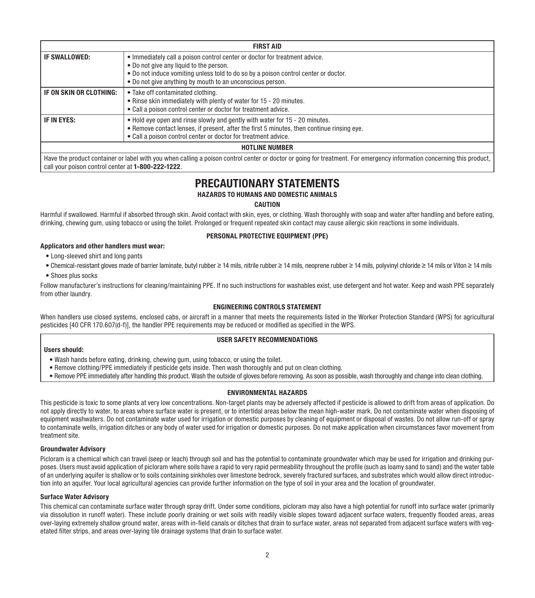|                                                                                                                                                                                                                                                                                            | <b>FIRST AID</b>                                                                                                                                                                                                                            |  |  |  |  |
|--------------------------------------------------------------------------------------------------------------------------------------------------------------------------------------------------------------------------------------------------------------------------------------------|---------------------------------------------------------------------------------------------------------------------------------------------------------------------------------------------------------------------------------------------|--|--|--|--|
| • Immediately call a poison control center or doctor for treatment advice.<br>IF SWALLOWED:<br>. Do not give any liquid to the person.<br>. Do not induce vomiting unless told to do so by a poison control center or doctor.<br>• Do not give anything by mouth to an unconscious person. |                                                                                                                                                                                                                                             |  |  |  |  |
| IF ON SKIN OR CLOTHING:                                                                                                                                                                                                                                                                    | • Take off contaminated clothing.<br>. Rinse skin immediately with plenty of water for 15 - 20 minutes.<br>• Call a poison control center or doctor for treatment advice.                                                                   |  |  |  |  |
| IF IN EYES:                                                                                                                                                                                                                                                                                | . Hold eye open and rinse slowly and gently with water for 15 - 20 minutes.<br>. Remove contact lenses, if present, after the first 5 minutes, then continue rinsing eye.<br>• Call a poison control center or doctor for treatment advice. |  |  |  |  |
| <b>HOTLINE NUMBER</b>                                                                                                                                                                                                                                                                      |                                                                                                                                                                                                                                             |  |  |  |  |
| . .                                                                                                                                                                                                                                                                                        |                                                                                                                                                                                                                                             |  |  |  |  |

Have the product container or label with you when calling a poison control center or doctor or going for treatment. For emergency information concerning this product, call your poison control center at 1-800-222-1222.

### PRECAUTIONARY STATEMENTS

#### HAZARDS TO HUMANS AND DOMESTIC ANIMALS

#### CAUTION

Harmful if swallowed. Harmful if absorbed through skin. Avoid contact with skin, eyes, or clothing. Wash thoroughly with soap and water after handling and before eating, drinking, chewing gum, using tobacco or using the toilet. Prolonged or frequent repeated skin contact may cause allergic skin reactions in some individuals.

#### PERSONAL PROTECTIVE EQUIPMENT (PPE)

#### Applicators and other handlers must wear:

- Long-sleeved shirt and long pants
- Chemical-resistant gloves made of barrier laminate, butyl rubber ≥ 14 mils, nitrile rubber ≥ 14 mils, neoprene rubber ≥ 14 mils, polyvinyl chloride ≥ 14 mils or Viton ≥ 14 mils
- Shoes plus socks

Follow manufacturer's instructions for cleaning/maintaining PPE. If no such instructions for washables exist, use detergent and hot water. Keep and wash PPE separately from other laundry.

#### ENGINEERING CONTROLS STATEMENT

When handlers use closed systems, enclosed cabs, or aircraft in a manner that meets the requirements listed in the Worker Protection Standard (WPS) for agricultural pesticides [40 CFR 170.607(d-f)], the handler PPE requirements may be reduced or modified as specified in the WPS.

#### USER SAFETY RECOMMENDATIONS

#### Users should:

- Wash hands before eating, drinking, chewing gum, using tobacco, or using the toilet.
- Remove clothing/PPE immediately if pesticide gets inside. Then wash thoroughly and put on clean clothing.
- Remove PPE immediately after handling this product. Wash the outside of gloves before removing. As soon as possible, wash thoroughly and change into clean clothing.

#### ENVIRONMENTAL HAZARDS

This pesticide is toxic to some plants at very low concentrations. Non-target plants may be adversely affected if pesticide is allowed to drift from areas of application. Do not apply directly to water, to areas where surface water is present, or to intertidal areas below the mean high-water mark. Do not contaminate water when disposing of equipment washwaters. Do not contaminate water used for irrigation or domestic purposes by cleaning of equipment or disposal of wastes. Do not allow run-off or spray to contaminate wells, irrigation ditches or any body of water used for irrigation or domestic purposes. Do not make application when circumstances favor movement from treatment site.

#### Groundwater Advisory

Picloram is a chemical which can travel (seep or leach) through soil and has the potential to contaminate groundwater which may be used for irrigation and drinking purposes. Users must avoid application of picloram where soils have a rapid to very rapid permeability throughout the profile (such as loamy sand to sand) and the water table of an underlying aquifer is shallow or to soils containing sinkholes over limestone bedrock, severely fractured surfaces, and substrates which would allow direct introduction into an aquifer. Your local agricultural agencies can provide further information on the type of soil in your area and the location of groundwater.

#### Surface Water Advisory

This chemical can contaminate surface water through spray drift. Under some conditions, picloram may also have a high potential for runoff into surface water (primarily via dissolution in runoff water). These include poorly draining or wet soils with readily visible slopes toward adjacent surface waters, frequently flooded areas, areas over-laying extremely shallow ground water, areas with in-field canals or ditches that drain to surface water, areas not separated from adjacent surface waters with vegetated filter strips, and areas over-laying tile drainage systems that drain to surface water.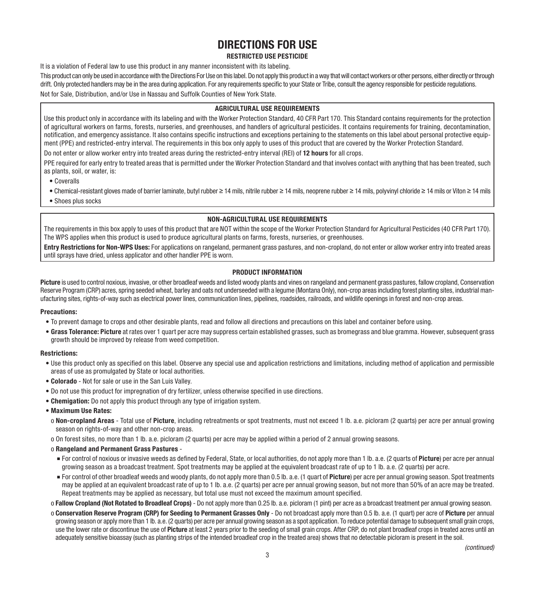## DIRECTIONS FOR USE

#### RESTRICTED USE PESTICIDE

It is a violation of Federal law to use this product in any manner inconsistent with its labeling.

This product can only be used in accordance with the Directions For Use on this label. Do not apply this product in a way that will contact workers or other persons, either directly or through drift. Only protected handlers may be in the area during application. For any requirements specific to your State or Tribe, consult the agency responsible for pesticide requlations. Not for Sale, Distribution, and/or Use in Nassau and Suffolk Counties of New York State.

#### AGRICULTURAL USE REQUIREMENTS

Use this product only in accordance with its labeling and with the Worker Protection Standard, 40 CFR Part 170. This Standard contains requirements for the protection of agricultural workers on farms, forests, nurseries, and greenhouses, and handlers of agricultural pesticides. It contains requirements for training, decontamination, notification, and emergency assistance. It also contains specific instructions and exceptions pertaining to the statements on this label about personal protective equipment (PPE) and restricted-entry interval. The requirements in this box only apply to uses of this product that are covered by the Worker Protection Standard.

Do not enter or allow worker entry into treated areas during the restricted-entry interval (REI) of 12 hours for all crops.

PPE required for early entry to treated areas that is permitted under the Worker Protection Standard and that involves contact with anything that has been treated, such as plants, soil, or water, is:

- Coveralls
- Chemical-resistant gloves made of barrier laminate, butyl rubber ≥ 14 mils, nitrile rubber ≥ 14 mils, neoprene rubber ≥ 14 mils, polyvinyl chloride ≥ 14 mils or Viton ≥ 14 mils
- Shoes plus socks

#### NON-AGRICULTURAL USE REQUIREMENTS

The requirements in this box apply to uses of this product that are NOT within the scope of the Worker Protection Standard for Agricultural Pesticides (40 CFR Part 170). The WPS applies when this product is used to produce agricultural plants on farms, forests, nurseries, or greenhouses.

Entry Restrictions for Non-WPS Uses: For applications on rangeland, permanent grass pastures, and non-cropland, do not enter or allow worker entry into treated areas until sprays have dried, unless applicator and other handler PPE is worn.

#### PRODUCT INFORMATION

Picture is used to control noxious, invasive, or other broadleaf weeds and listed woody plants and vines on rangeland and permanent grass pastures, fallow cropland, Conservation Reserve Program (CRP) acres, spring seeded wheat, barley and oats not underseeded with a legume (Montana Only), non-crop areas including forest planting sites, industrial manufacturing sites, rights-of-way such as electrical power lines, communication lines, pipelines, roadsides, railroads, and wildlife openings in forest and non-crop areas.

#### Precautions:

- To prevent damage to crops and other desirable plants, read and follow all directions and precautions on this label and container before using.
- Grass Tolerance: Picture at rates over 1 quart per acre may suppress certain established grasses, such as bromegrass and blue gramma. However, subsequent grass growth should be improved by release from weed competition.

#### Restrictions:

- Use this product only as specified on this label. Observe any special use and application restrictions and limitations, including method of application and permissible areas of use as promulgated by State or local authorities.
- Colorado Not for sale or use in the San Luis Valley.
- Do not use this product for impregnation of dry fertilizer, unless otherwise specified in use directions.
- Chemigation: Do not apply this product through any type of irrigation system.

#### • Maximum Use Rates:

- o Non-cropland Areas Total use of Picture, including retreatments or spot treatments, must not exceed 1 lb. a.e. picloram (2 quarts) per acre per annual growing season on rights-of-way and other non-crop areas.
- o On forest sites, no more than 1 lb. a.e. picloram (2 quarts) per acre may be applied within a period of 2 annual growing seasons.

#### o Rangeland and Permanent Grass Pastures -

- For control of noxious or invasive weeds as defined by Federal, State, or local authorities, do not apply more than 1 lb. a.e. (2 quarts of Picture) per acre per annual growing season as a broadcast treatment. Spot treatments may be applied at the equivalent broadcast rate of up to 1 lb. a.e. (2 quarts) per acre.
- For control of other broadleaf weeds and woody plants, do not apply more than 0.5 lb. a.e. (1 quart of Picture) per acre per annual growing season. Spot treatments may be applied at an equivalent broadcast rate of up to 1 lb. a.e. (2 quarts) per acre per annual growing season, but not more than 50% of an acre may be treated. Repeat treatments may be applied as necessary, but total use must not exceed the maximum amount specified.

o Fallow Cropland (Not Rotated to Broadleaf Crops) - Do not apply more than 0.25 lb. a.e. picloram (1 pint) per acre as a broadcast treatment per annual growing season.

o Conservation Reserve Program (CRP) for Seeding to Permanent Grasses Only - Do not broadcast apply more than 0.5 lb. a.e. (1 quart) per acre of Picture per annual growing season or apply more than 1 lb. a.e. (2 quarts) per acre per annual growing season as a spot application. To reduce potential damage to subsequent small grain crops, use the lower rate or discontinue the use of **Picture** at least 2 years prior to the seeding of small grain crops. After CRP, do not plant broadleaf crops in treated acres until an adequately sensitive bioassay (such as planting strips of the intended broadleaf crop in the treated area) shows that no detectable picloram is present in the soil.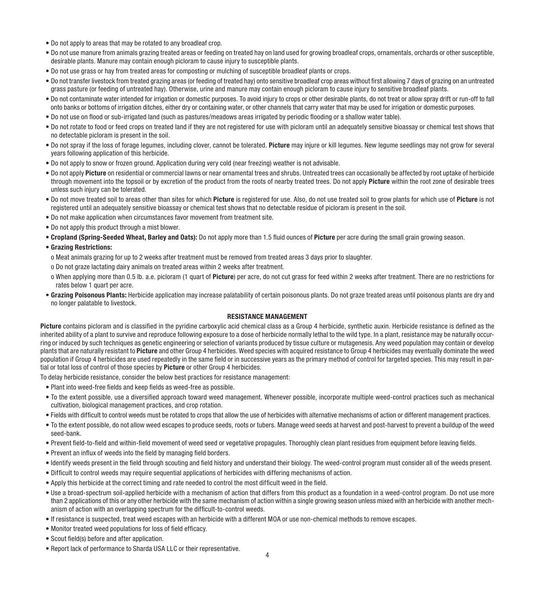- Do not apply to areas that may be rotated to any broadleaf crop.
- Do not use manure from animals grazing treated areas or feeding on treated hay on land used for growing broadleaf crops, ornamentals, orchards or other susceptible, desirable plants. Manure may contain enough picloram to cause injury to susceptible plants.
- Do not use grass or hay from treated areas for composting or mulching of susceptible broadleaf plants or crops.
- Do not transfer livestock from treated grazing areas (or feeding of treated hay) onto sensitive broadleaf crop areas without first allowing 7 days of grazing on an untreated grass pasture (or feeding of untreated hay). Otherwise, urine and manure may contain enough picloram to cause injury to sensitive broadleaf plants.
- Do not contaminate water intended for irrigation or domestic purposes. To avoid injury to crops or other desirable plants, do not treat or allow spray drift or run-off to fall onto banks or bottoms of irrigation ditches, either dry or containing water, or other channels that carry water that may be used for irrigation or domestic purposes.
- Do not use on flood or sub-irrigated land (such as pastures/meadows areas irrigated by periodic flooding or a shallow water table).
- Do not rotate to food or feed crops on treated land if they are not registered for use with picloram until an adequately sensitive bioassay or chemical test shows that no detectable picloram is present in the soil.
- Do not spray if the loss of forage legumes, including clover, cannot be tolerated. Picture may iniure or kill legumes, New legume seedlings may not grow for several years following application of this herbicide.
- Do not apply to snow or frozen ground. Application during very cold (near freezing) weather is not advisable.
- Do not apply Picture on residential or commercial lawns or near ornamental trees and shrubs. Untreated trees can occasionally be affected by root uptake of herbicide through movement into the topsoil or by excretion of the product from the roots of nearby treated trees. Do not apply **Picture** within the root zone of desirable trees unless such injury can be tolerated.
- Do not move treated soil to areas other than sites for which Picture is registered for use. Also, do not use treated soil to grow plants for which use of Picture is not registered until an adequately sensitive bioassay or chemical test shows that no detectable residue of picloram is present in the soil.
- Do not make application when circumstances favor movement from treatment site.
- Do not apply this product through a mist blower.
- Cropland (Spring-Seeded Wheat, Barley and Oats): Do not apply more than 1.5 fluid ounces of Picture per acre during the small grain growing season.
- Grazing Restrictions:
- o Meat animals grazing for up to 2 weeks after treatment must be removed from treated areas 3 days prior to slaughter.
- o Do not graze lactating dairy animals on treated areas within 2 weeks after treatment.
- o When applying more than 0.5 lb. a.e. picloram (1 quart of Picture) per acre, do not cut grass for feed within 2 weeks after treatment. There are no restrictions for rates below 1 quart per acre.
- Grazing Poisonous Plants: Herbicide application may increase palatability of certain poisonous plants. Do not graze treated areas until poisonous plants are dry and no longer palatable to livestock.

#### RESISTANCE MANAGEMENT

Picture contains picloram and is classified in the pyridine carboxylic acid chemical class as a Group 4 herbicide, synthetic auxin. Herbicide resistance is defined as the inherited ability of a plant to survive and reproduce following exposure to a dose of herbicide normally lethal to the wild type. In a plant, resistance may be naturally occurring or induced by such techniques as genetic engineering or selection of variants produced by tissue culture or mutagenesis. Any weed population may contain or develop plants that are naturally resistant to Picture and other Group 4 herbicides. Weed species with acquired resistance to Group 4 herbicides may eventually dominate the weed population if Group 4 herbicides are used repeatedly in the same field or in successive years as the primary method of control for targeted species. This may result in partial or total loss of control of those species by Picture or other Group 4 herbicides.

To delay herbicide resistance, consider the below best practices for resistance management:

- Plant into weed-free fields and keep fields as weed-free as possible.
- To the extent possible, use a diversified approach toward weed management. Whenever possible, incorporate multiple weed-control practices such as mechanical cultivation, biological management practices, and crop rotation.
- Fields with difficult to control weeds must be rotated to crops that allow the use of herbicides with alternative mechanisms of action or different management practices.
- To the extent possible, do not allow weed escapes to produce seeds, roots or tubers. Manage weed seeds at harvest and post-harvest to prevent a buildup of the weed seed-bank.
- Prevent field-to-field and within-field movement of weed seed or vegetative propagules. Thoroughly clean plant residues from equipment before leaving fields.
- Prevent an influx of weeds into the field by managing field borders.
- Identify weeds present in the field through scouting and field history and understand their biology. The weed-control program must consider all of the weeds present.
- Difficult to control weeds may require sequential applications of herbicides with differing mechanisms of action.
- Apply this herbicide at the correct timing and rate needed to control the most difficult weed in the field.
- Use a broad-spectrum soil-applied herbicide with a mechanism of action that differs from this product as a foundation in a weed-control program. Do not use more than 2 applications of this or any other herbicide with the same mechanism of action within a single growing season unless mixed with an herbicide with another mechanism of action with an overlapping spectrum for the difficult-to-control weeds.
- If resistance is suspected, treat weed escapes with an herbicide with a different MOA or use non-chemical methods to remove escapes.
- Monitor treated weed populations for loss of field efficacy.
- Scout field(s) before and after application.
- Report lack of performance to Sharda USA LLC or their representative.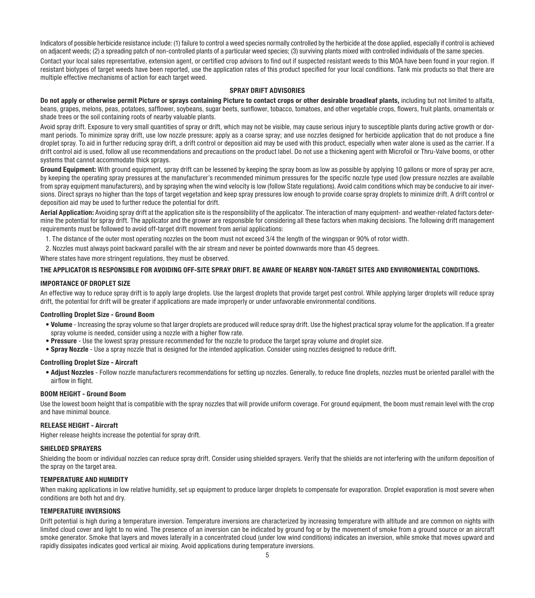Indicators of possible herbicide resistance include: (1) failure to control a weed species normally controlled by the herbicide at the dose applied, especially if control is achieved on adjacent weeds; (2) a spreading patch of non-controlled plants of a particular weed species; (3) surviving plants mixed with controlled individuals of the same species.

Contact your local sales representative, extension agent, or certified crop advisors to find out if suspected resistant weeds to this MOA have been found in your region. If resistant biotypes of target weeds have been reported, use the application rates of this product specified for your local conditions. Tank mix products so that there are multiple effective mechanisms of action for each target weed.

#### SPRAY DRIFT ADVISORIES

Do not apply or otherwise permit Picture or sprays containing Picture to contact crops or other desirable broadleaf plants, including but not limited to alfalfa. beans, grapes, melons, peas, potatoes, safflower, soybeans, sugar beets, sunflower, tobacco, tomatoes, and other vegetable crops, flowers, fruit plants, ornamentals or shade trees or the soil containing roots of nearby valuable plants.

Avoid spray drift. Exposure to very small quantities of spray or drift, which may not be visible, may cause serious injury to susceptible plants during active growth or dormant periods. To minimize spray drift, use low nozzle pressure; apply as a coarse spray; and use nozzles designed for herbicide application that do not produce a fine droplet spray. To aid in further reducing spray drift, a drift control or deposition aid may be used with this product, especially when water alone is used as the carrier. If a drift control aid is used, follow all use recommendations and precautions on the product label. Do not use a thickening agent with Microfoil or Thru-Valve booms, or other systems that cannot accommodate thick sprays.

Ground Equipment: With ground equipment, spray drift can be lessened by keeping the spray boom as low as possible by applying 10 gallons or more of spray per acre. by keeping the operating spray pressures at the manufacturer's recommended minimum pressures for the specific nozzle type used (low pressure nozzles are available from spray equipment manufacturers), and by spraying when the wind velocity is low (follow State regulations). Avoid calm conditions which may be conducive to air inversions. Direct sprays no higher than the tops of target vegetation and keep spray pressures low enough to provide coarse spray droplets to minimize drift. A drift control or deposition aid may be used to further reduce the potential for drift.

Aerial Application: Avoiding spray drift at the application site is the responsibility of the applicator. The interaction of many equipment- and weather-related factors determine the potential for spray drift. The applicator and the grower are responsible for considering all these factors when making decisions. The following drift management requirements must be followed to avoid off-target drift movement from aerial applications:

1. The distance of the outer most operating nozzles on the boom must not exceed 3/4 the length of the wingspan or 90% of rotor width.

2. Nozzles must always point backward parallel with the air stream and never be pointed downwards more than 45 degrees.

Where states have more stringent regulations, they must be observed.

#### THE APPLICATOR IS RESPONSIBLE FOR AVOIDING OFF-SITE SPRAY DRIFT. BE AWARE OF NEARBY NON-TARGET SITES AND ENVIRONMENTAL CONDITIONS.

#### IMPORTANCE OF DROPLET SIZE

An effective way to reduce spray drift is to apply large droplets. Use the largest droplets that provide target pest control. While applying larger droplets will reduce spray drift, the potential for drift will be greater if applications are made improperly or under unfavorable environmental conditions.

#### Controlling Droplet Size - Ground Boom

- Volume Increasing the spray volume so that larger droplets are produced will reduce spray drift. Use the highest practical spray volume for the application. If a greater spray volume is needed, consider using a nozzle with a higher flow rate.
- Pressure Use the lowest spray pressure recommended for the nozzle to produce the target spray volume and droplet size.
- Spray Nozzle Use a spray nozzle that is designed for the intended application. Consider using nozzles designed to reduce drift.

#### Controlling Droplet Size - Aircraft

• Adjust Nozzles - Follow nozzle manufacturers recommendations for setting up nozzles. Generally, to reduce fine droplets, nozzles must be oriented parallel with the airflow in flight.

#### BOOM HEIGHT - Ground Boom

Use the lowest boom height that is compatible with the spray nozzles that will provide uniform coverage. For ground equipment, the boom must remain level with the crop and have minimal bounce.

#### RELEASE HEIGHT - Aircraft

Higher release heights increase the potential for spray drift.

#### SHIELDED SPRAYERS

Shielding the boom or individual nozzles can reduce spray drift. Consider using shielded sprayers. Verify that the shields are not interfering with the uniform deposition of the spray on the target area.

#### TEMPERATURE AND HUMIDITY

When making applications in low relative humidity, set up equipment to produce larger droplets to compensate for evaporation. Droplet evaporation is most severe when conditions are both hot and dry.

#### TEMPERATURE INVERSIONS

Drift potential is high during a temperature inversion. Temperature inversions are characterized by increasing temperature with altitude and are common on nights with limited cloud cover and light to no wind. The presence of an inversion can be indicated by ground fog or by the movement of smoke from a ground source or an aircraft smoke generator. Smoke that layers and moves laterally in a concentrated cloud (under low wind conditions) indicates an inversion, while smoke that moves upward and rapidly dissipates indicates good vertical air mixing. Avoid applications during temperature inversions.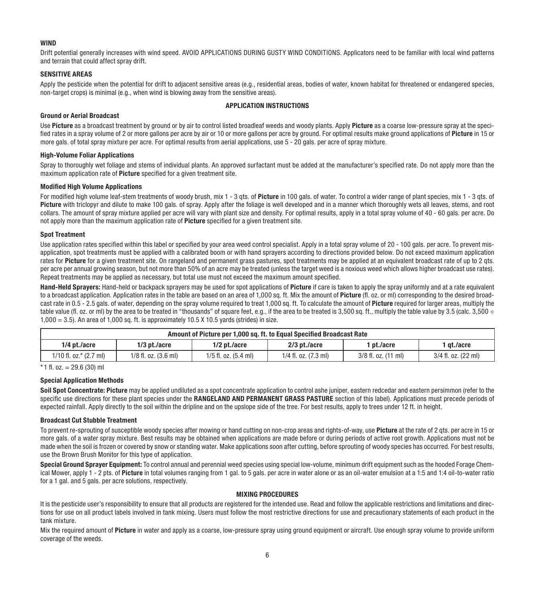#### **WIND**

Drift potential generally increases with wind speed. AVOID APPLICATIONS DURING GUSTY WIND CONDITIONS. Applicators need to be familiar with local wind patterns and terrain that could affect spray drift.

#### SENSITIVE AREAS

Apply the pesticide when the potential for drift to adjacent sensitive areas (e.g., residential areas, bodies of water, known habitat for threatened or endangered species, non-target crops) is minimal (e.g., when wind is blowing away from the sensitive areas).

#### APPLICATION INSTRUCTIONS

#### Ground or Aerial Broadcast

Use Picture as a broadcast treatment by ground or by air to control listed broadleaf weeds and woody plants. Apply Picture as a coarse low-pressure spray at the specified rates in a spray volume of 2 or more gallons per acre by air or 10 or more gallons per acre by ground. For optimal results make ground applications of Picture in 15 or more gals. of total spray mixture per acre. For optimal results from aerial applications, use 5 - 20 gals. per acre of spray mixture.

#### High-Volume Foliar Applications

Spray to thoroughly wet foliage and stems of individual plants. An approved surfactant must be added at the manufacturer's specified rate. Do not apply more than the maximum application rate of Picture specified for a given treatment site.

#### Modified High Volume Applications

For modified high volume leaf-stem treatments of woody brush, mix 1 - 3 gts. of Picture in 100 gals. of water. To control a wider range of plant species, mix 1 - 3 gts. of Picture with triclopyr and dilute to make 100 gals, of spray. Apply after the foliage is well developed and in a manner which thoroughly wets all leaves, stems, and root collars. The amount of spray mixture applied per acre will vary with plant size and density. For optimal results, apply in a total spray volume of 40 - 60 gals. per acre. Do not apply more than the maximum application rate of **Picture** specified for a given treatment site.

#### Spot Treatment

Use application rates specified within this label or specified by your area weed control specialist. Apply in a total spray volume of 20 - 100 gals, per acre. To prevent misapplication, spot treatments must be applied with a calibrated boom or with hand sprayers according to directions provided below. Do not exceed maximum application rates for Picture for a given treatment site. On rangeland and permanent grass pastures, spot treatments may be applied at an equivalent broadcast rate of up to 2 gts. per acre per annual growing season, but not more than 50% of an acre may be treated (unless the target weed is a noxious weed which allows higher broadcast use rates). Repeat treatments may be applied as necessary, but total use must not exceed the maximum amount specified.

Hand-Held Sprayers: Hand-held or backpack sprayers may be used for spot applications of Picture if care is taken to apply the spray uniformly and at a rate equivalent to a broadcast application. Application rates in the table are based on an area of 1,000 sq. ft. Mix the amount of Picture (fl. oz. or ml) corresponding to the desired broadcast rate in 0.5 - 2.5 gals. of water, depending on the spray volume required to treat 1,000 sq. ft. To calculate the amount of Picture required for larger areas, multiply the table value (fl. oz. or ml) by the area to be treated in "thousands" of square feet, e.g., if the area to be treated is 3,500 sq. ft., multiply the table value by 3.5 (calc. 3,500 ÷  $1,000 = 3.5$ ). An area of  $1,000$  sq. ft. is approximately  $10.5$  X  $10.5$  yards (strides) in size.

| Amount of Picture per 1.000 sq. ft. to Equal Specified Broadcast Rate |                          |                      |                                  |                     |                     |
|-----------------------------------------------------------------------|--------------------------|----------------------|----------------------------------|---------------------|---------------------|
| $1/4$ pt./acre                                                        | 1/3 pt./acre             | $1/2$ pt./acre       | 2/3 pt./acre                     | pt./acre            | 1 at./acre          |
| $1/10$ fl. oz. $*$ (2.7 ml)                                           | $1/8$ fl. oz. $(3.6$ ml) | 1/5 fl. oz. (5.4 ml) | $1/4$ fl. oz. $(7.3 \text{ ml})$ | 3/8 fl. oz. (11 ml) | 3/4 fl. oz. (22 ml) |

 $*$  1 fl. oz. = 29.6 (30) ml

#### Special Application Methods

Soil Spot Concentrate: Picture may be applied undiluted as a spot concentrate application to control ashe juniper, eastern redcedar and eastern persimmon (refer to the specific use directions for these plant species under the RANGELAND AND PERMANENT GRASS PASTURE section of this label). Applications must precede periods of expected rainfall. Apply directly to the soil within the dripline and on the upslope side of the tree. For best results, apply to trees under 12 ft. in height.

#### Broadcast Cut Stubble Treatment

To prevent re-sprouting of susceptible woody species after mowing or hand cutting on non-crop areas and rights-of-way, use Picture at the rate of 2 qts. per acre in 15 or more gals. of a water spray mixture. Best results may be obtained when applications are made before or during periods of active root growth. Applications must not be made when the soil is frozen or covered by snow or standing water. Make applications soon after cutting, before sprouting of woody species has occurred. For best results, use the Brown Brush Monitor for this type of application.

Special Ground Sprayer Equipment: To control annual and perennial weed species using special low-volume, minimum drift equipment such as the hooded Forage Chemical Mower, apply 1 - 2 pts. of Picture in total volumes ranging from 1 gal. to 5 gals. per acre in water alone or as an oil-water emulsion at a 1:5 and 1:4 oil-to-water ratio for a 1 gal. and 5 gals. per acre solutions, respectively.

#### MIXING PROCEDURES

It is the pesticide user's responsibility to ensure that all products are registered for the intended use. Read and follow the applicable restrictions and limitations and directions for use on all product labels involved in tank mixing. Users must follow the most restrictive directions for use and precautionary statements of each product in the tank mixture.

Mix the required amount of Picture in water and apply as a coarse, low-pressure spray using ground equipment or aircraft. Use enough spray volume to provide uniform coverage of the weeds.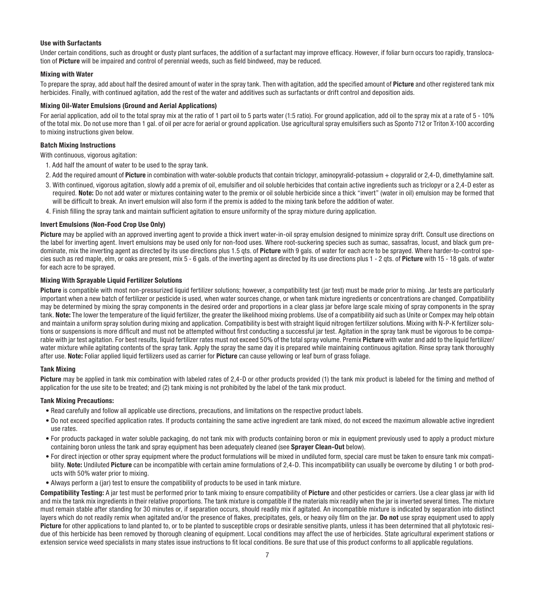#### Use with Surfactants

Under certain conditions, such as drought or dusty plant surfaces, the addition of a surfactant may improve efficacy. However, if foliar burn occurs too rapidly, translocation of Picture will be impaired and control of perennial weeds, such as field bindweed, may be reduced.

#### Mixing with Water

To prepare the spray, add about half the desired amount of water in the spray tank. Then with agitation, add the specified amount of Picture and other registered tank mix herbicides. Finally, with continued agitation, add the rest of the water and additives such as surfactants or drift control and deposition aids.

#### Mixing Oil-Water Emulsions (Ground and Aerial Applications)

For aerial application, add oil to the total spray mix at the ratio of 1 part oil to 5 parts water (1:5 ratio). For ground application, add oil to the spray mix at a rate of 5 - 10% of the total mix. Do not use more than 1 gal. of oil per acre for aerial or ground application. Use agricultural spray emulsifiers such as Sponto 712 or Triton X-100 according to mixing instructions given below.

#### Batch Mixing Instructions

With continuous, vigorous agitation:

- 1. Add half the amount of water to be used to the spray tank.
- 2. Add the required amount of Picture in combination with water-soluble products that contain triclopyr, aminopyralid-potassium + clopyralid or 2.4-D, dimethylamine salt.
- 3. With continued, vigorous agitation, slowly add a premix of oil, emulsifier and oil soluble herbicides that contain active ingredients such as triclopyr or a 2,4-D ester as required. Note: Do not add water or mixtures containing water to the premix or oil soluble herbicide since a thick "invert" (water in oil) emulsion may be formed that will be difficult to break. An invert emulsion will also form if the premix is added to the mixing tank before the addition of water.
- 4. Finish filling the spray tank and maintain sufficient agitation to ensure uniformity of the spray mixture during application.

#### Invert Emulsions (Non-Food Crop Use Only)

Picture may be applied with an approved inverting agent to provide a thick invert water-in-oil spray emulsion designed to minimize spray drift. Consult use directions on the label for inverting agent. Invert emulsions may be used only for non-food uses. Where root-suckering species such as sumac, sassafras, locust, and black gum predominate, mix the inverting agent as directed by its use directions plus 1.5 qts. of Picture with 9 gals. of water for each acre to be sprayed. Where harder-to-control species such as red maple, elm, or oaks are present, mix 5 - 6 gals. of the inverting agent as directed by its use directions plus 1 - 2 gts. of Picture with 15 - 18 gals. of water for each acre to be sprayed.

#### Mixing With Sprayable Liquid Fertilizer Solutions

Picture is compatible with most non-pressurized liquid fertilizer solutions; however, a compatibility test (iar test) must be made prior to mixing. Jar tests are particularly important when a new batch of fertilizer or pesticide is used, when water sources change, or when tank mixture ingredients or concentrations are changed. Compatibility may be determined by mixing the spray components in the desired order and proportions in a clear glass jar before large scale mixing of spray components in the spray tank. Note: The lower the temperature of the liquid fertilizer, the greater the likelihood mixing problems. Use of a compatibility aid such as Unite or Compex may help obtain and maintain a uniform spray solution during mixing and application. Compatibility is best with straight liquid nitrogen fertilizer solutions. Mixing with N-P-K fertilizer solutions or suspensions is more difficult and must not be attempted without first conducting a successful jar test. Agitation in the spray tank must be vigorous to be comparable with jar test agitation. For best results, liquid fertilizer rates must not exceed 50% of the total spray volume. Premix Picture with water and add to the liquid fertilizer/ water mixture while agitating contents of the spray tank. Apply the spray the same day it is prepared while maintaining continuous agitation. Rinse spray tank thoroughly after use. Note: Foliar applied liquid fertilizers used as carrier for Picture can cause yellowing or leaf burn of grass foliage.

#### Tank Mixing

Picture may be applied in tank mix combination with labeled rates of 2.4-D or other products provided (1) the tank mix product is labeled for the timing and method of application for the use site to be treated; and (2) tank mixing is not prohibited by the label of the tank mix product.

#### Tank Mixing Precautions:

- Read carefully and follow all applicable use directions, precautions, and limitations on the respective product labels.
- Do not exceed specified application rates. If products containing the same active ingredient are tank mixed, do not exceed the maximum allowable active ingredient use rates.
- For products packaged in water soluble packaging, do not tank mix with products containing boron or mix in equipment previously used to apply a product mixture containing boron unless the tank and spray equipment has been adequately cleaned (see Sprayer Clean-Out below).
- For direct injection or other spray equipment where the product formulations will be mixed in undiluted form, special care must be taken to ensure tank mix compatibility. Note: Undiluted Picture can be incompatible with certain amine formulations of 2,4-D. This incompatibility can usually be overcome by diluting 1 or both products with 50% water prior to mixing.
- Always perform a (jar) test to ensure the compatibility of products to be used in tank mixture.

Compatibility Testing: A jar test must be performed prior to tank mixing to ensure compatibility of Picture and other pesticides or carriers. Use a clear glass jar with lid and mix the tank mix ingredients in their relative proportions. The tank mixture is compatible if the materials mix readily when the jar is inverted several times. The mixture must remain stable after standing for 30 minutes or, if separation occurs, should readily mix if agitated. An incompatible mixture is indicated by separation into distinct layers which do not readily remix when agitated and/or the presence of flakes, precipitates, gels, or heavy oily film on the jar. Do not use spray equipment used to apply Picture for other applications to land planted to, or to be planted to susceptible crops or desirable sensitive plants, unless it has been determined that all phytotoxic residue of this herbicide has been removed by thorough cleaning of equipment. Local conditions may affect the use of herbicides. State agricultural experiment stations or extension service weed specialists in many states issue instructions to fit local conditions. Be sure that use of this product conforms to all applicable regulations.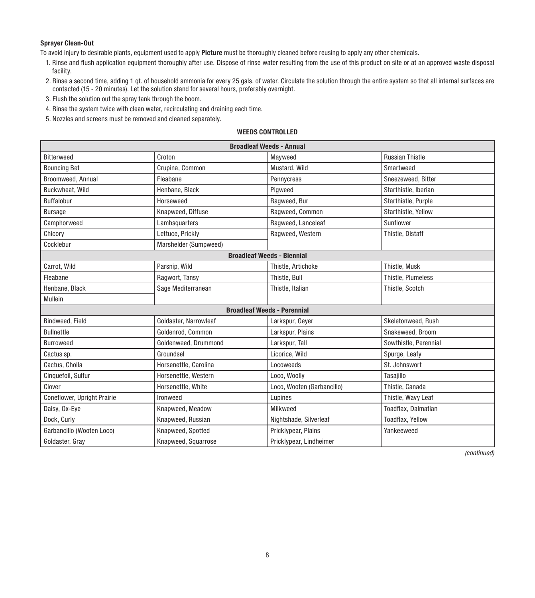#### Sprayer Clean-Out

To avoid injury to desirable plants, equipment used to apply Picture must be thoroughly cleaned before reusing to apply any other chemicals.

- 1. Rinse and flush application equipment thoroughly after use. Dispose of rinse water resulting from the use of this product on site or at an approved waste disposal facility.
- 2. Rinse a second time, adding 1 qt. of household ammonia for every 25 gals. of water. Circulate the solution through the entire system so that all internal surfaces are contacted (15 - 20 minutes). Let the solution stand for several hours, preferably overnight.
- 3. Flush the solution out the spray tank through the boom.
- 4. Rinse the system twice with clean water, recirculating and draining each time.
- 5. Nozzles and screens must be removed and cleaned separately.

#### WEEDS CONTROLLED

| <b>Broadleaf Weeds - Annual</b>    |                       |                                   |                        |  |
|------------------------------------|-----------------------|-----------------------------------|------------------------|--|
| <b>Bitterweed</b>                  | Croton                | Mayweed                           | <b>Russian Thistle</b> |  |
| <b>Bouncing Bet</b>                | Crupina, Common       | Mustard, Wild                     | Smartweed              |  |
| Broomweed, Annual                  | Fleabane              | Pennycress                        | Sneezeweed, Bitter     |  |
| Buckwheat, Wild                    | Henbane, Black        | Pigweed                           | Starthistle, Iberian   |  |
| <b>Buffalobur</b>                  | Horseweed             | Ragweed, Bur                      | Starthistle, Purple    |  |
| <b>Bursage</b>                     | Knapweed, Diffuse     | Ragweed, Common                   | Starthistle, Yellow    |  |
| Camphorweed                        | Lambsquarters         | Ragweed, Lanceleaf                | Sunflower              |  |
| Chicory                            | Lettuce, Prickly      | Ragweed, Western                  | Thistle, Distaff       |  |
| Cocklebur                          | Marshelder (Sumpweed) |                                   |                        |  |
|                                    |                       | <b>Broadleaf Weeds - Biennial</b> |                        |  |
| Carrot, Wild                       | Parsnip, Wild         | Thistle, Artichoke                | Thistle, Musk          |  |
| Fleabane                           | Ragwort, Tansy        | Thistle, Bull                     | Thistle, Plumeless     |  |
| Henbane, Black                     | Sage Mediterranean    | Thistle, Italian                  | Thistle, Scotch        |  |
| Mullein                            |                       |                                   |                        |  |
| <b>Broadleaf Weeds - Perennial</b> |                       |                                   |                        |  |
| Bindweed, Field                    | Goldaster, Narrowleaf | Larkspur, Geyer                   | Skeletonweed, Rush     |  |
| <b>Bullnettle</b>                  | Goldenrod, Common     | Larkspur, Plains                  | Snakeweed, Broom       |  |
| <b>Burroweed</b>                   | Goldenweed, Drummond  | Larkspur, Tall                    | Sowthistle, Perennial  |  |
| Cactus sp.                         | Groundsel             | Licorice, Wild                    | Spurge, Leafy          |  |
| Cactus, Cholla                     | Horsenettle, Carolina | Locoweeds                         | St. Johnswort          |  |
| Cinquefoil, Sulfur                 | Horsenettle, Western  | Loco, Woolly                      | Tasajillo              |  |
| Clover                             | Horsenettle, White    | Loco, Wooten (Garbancillo)        | Thistle, Canada        |  |
| Coneflower, Upright Prairie        | Ironweed              | Lupines                           | Thistle, Wavy Leaf     |  |
| Daisy, Ox-Eye                      | Knapweed, Meadow      | Milkweed                          | Toadflax, Dalmatian    |  |
| Dock, Curly                        | Knapweed, Russian     | Nightshade, Silverleaf            | Toadflax, Yellow       |  |
| Garbancillo (Wooten Loco)          | Knapweed, Spotted     | Pricklypear, Plains               | Yankeeweed             |  |
| Goldaster, Gray                    | Knapweed, Squarrose   | Pricklypear, Lindheimer           |                        |  |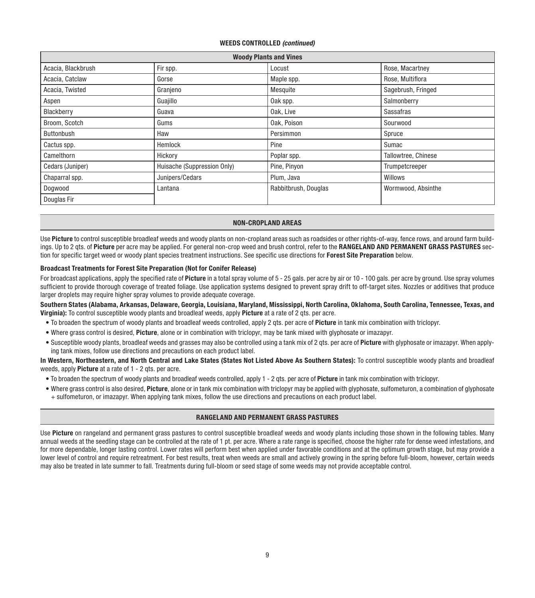#### WEEDS CONTROLLED *(continued)*

| <b>Woody Plants and Vines</b> |                             |                      |                     |  |
|-------------------------------|-----------------------------|----------------------|---------------------|--|
| Acacia, Blackbrush            | Fir spp.                    | Locust               | Rose, Macartney     |  |
| Acacia, Catclaw               | Gorse                       | Maple spp.           | Rose, Multiflora    |  |
| Acacia, Twisted               | Granjeno                    | Mesquite             | Sagebrush, Fringed  |  |
| Aspen                         | Guajillo                    | Oak spp.             | Salmonberry         |  |
| Blackberry                    | Guava                       | Oak, Live            | Sassafras           |  |
| Broom, Scotch                 | Gums                        | Oak. Poison          | Sourwood            |  |
| Buttonbush                    | Haw                         | Persimmon            | Spruce              |  |
| Cactus spp.                   | Hemlock                     | Pine                 | Sumac               |  |
| Camelthorn                    | Hickory                     | Poplar spp.          | Tallowtree, Chinese |  |
| Cedars (Juniper)              | Huisache (Suppression Only) | Pine, Pinyon         | Trumpetcreeper      |  |
| Chaparral spp.                | Junipers/Cedars             | Plum, Java           | Willows             |  |
| Dogwood                       | Lantana                     | Rabbitbrush, Douglas | Wormwood, Absinthe  |  |
| Douglas Fir                   |                             |                      |                     |  |

#### NON-CROPLAND AREAS

Use Picture to control susceptible broadleaf weeds and woody plants on non-cropland areas such as roadsides or other rights-of-way, fence rows, and around farm buildings. Up to 2 gts. of Picture per acre may be applied. For general non-crop weed and brush control, refer to the RANGELAND AND PERMANENT GRASS PASTURES section for specific target weed or woody plant species treatment instructions. See specific use directions for Forest Site Preparation below.

#### Broadcast Treatments for Forest Site Preparation (Not for Conifer Release)

For broadcast applications, apply the specified rate of Picture in a total spray volume of 5 - 25 gals. per acre by air or 10 - 100 gals. per acre by ground. Use spray volumes sufficient to provide thorough coverage of treated foliage. Use application systems designed to prevent spray drift to off-target sites. Nozzles or additives that produce larger droplets may require higher spray volumes to provide adequate coverage.

Southern States (Alabama, Arkansas, Delaware, Georgia, Louisiana, Maryland, Mississippi, North Carolina, Oklahoma, South Carolina, Tennessee, Texas, and Virginia): To control susceptible woody plants and broadleaf weeds, apply Picture at a rate of 2 qts. per acre.

- To broaden the spectrum of woody plants and broadleaf weeds controlled, apply 2 qts. per acre of Picture in tank mix combination with triclopyr.
- Where grass control is desired, Picture, alone or in combination with triclopyr, may be tank mixed with glyphosate or imazapyr.
- Susceptible woody plants, broadleaf weeds and grasses may also be controlled using a tank mix of 2 qts. per acre of Picture with glyphosate or imazapyr. When applying tank mixes, follow use directions and precautions on each product label.

In Western, Northeastern, and North Central and Lake States (States Not Listed Above As Southern States): To control susceptible woody plants and broadleaf weeds, apply **Picture** at a rate of 1 - 2 gts, per acre.

- To broaden the spectrum of woody plants and broadleaf weeds controlled, apply 1 2 qts. per acre of Picture in tank mix combination with triclopyr.
- Where grass control is also desired, Picture, alone or in tank mix combination with triclopyr may be applied with glyphosate, sulfometuron, a combination of glyphosate + sulfometuron, or imazapyr. When applying tank mixes, follow the use directions and precautions on each product label.

#### RANGELAND AND PERMANENT GRASS PASTURES

Use Picture on rangeland and permanent grass pastures to control susceptible broadleaf weeds and woody plants including those shown in the following tables. Many annual weeds at the seedling stage can be controlled at the rate of 1 pt. per acre. Where a rate range is specified, choose the higher rate for dense weed infestations, and for more dependable, longer lasting control. Lower rates will perform best when applied under favorable conditions and at the optimum growth stage, but may provide a lower level of control and require retreatment. For best results, treat when weeds are small and actively growing in the spring before full-bloom, however, certain weeds may also be treated in late summer to fall. Treatments during full-bloom or seed stage of some weeds may not provide acceptable control.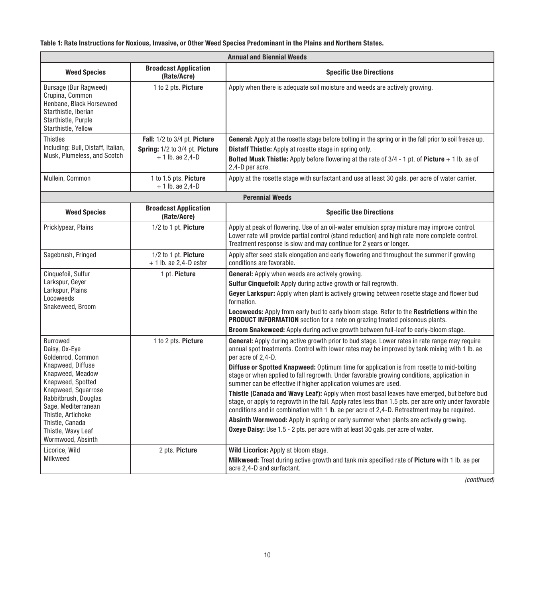#### Table 1: Rate Instructions for Noxious, Invasive, or Other Weed Species Predominant in the Plains and Northern States.

| <b>Annual and Biennial Weeds</b>                                                                                                           |                                                     |                                                                                                                                                                                                                                                                                                   |  |
|--------------------------------------------------------------------------------------------------------------------------------------------|-----------------------------------------------------|---------------------------------------------------------------------------------------------------------------------------------------------------------------------------------------------------------------------------------------------------------------------------------------------------|--|
| <b>Weed Species</b>                                                                                                                        | <b>Broadcast Application</b><br>(Rate/Acre)         | <b>Specific Use Directions</b>                                                                                                                                                                                                                                                                    |  |
| Bursage (Bur Ragweed)<br>Crupina, Common<br>Henbane, Black Horseweed<br>Starthistle, Iberian<br>Starthistle, Purple<br>Starthistle, Yellow | 1 to 2 pts. Picture                                 | Apply when there is adequate soil moisture and weeds are actively growing.                                                                                                                                                                                                                        |  |
| <b>Thistles</b>                                                                                                                            | Fall: 1/2 to 3/4 pt. Picture                        | General: Apply at the rosette stage before bolting in the spring or in the fall prior to soil freeze up.                                                                                                                                                                                          |  |
| Including: Bull, Distaff, Italian,<br>Musk, Plumeless, and Scotch                                                                          | Spring: 1/2 to 3/4 pt. Picture<br>$+1$ lb. ae 2.4-D | <b>Distaff Thistle:</b> Apply at rosette stage in spring only.<br><b>Bolted Musk Thistle:</b> Apply before flowering at the rate of $3/4$ - 1 pt. of Picture + 1 lb. ae of<br>2.4-D per acre.                                                                                                     |  |
| Mullein, Common                                                                                                                            | 1 to 1.5 pts. Picture<br>$+1$ lb. ae 2,4-D          | Apply at the rosette stage with surfactant and use at least 30 gals, per acre of water carrier.                                                                                                                                                                                                   |  |
|                                                                                                                                            |                                                     | <b>Perennial Weeds</b>                                                                                                                                                                                                                                                                            |  |
| <b>Weed Species</b>                                                                                                                        | <b>Broadcast Application</b><br>(Rate/Acre)         | <b>Specific Use Directions</b>                                                                                                                                                                                                                                                                    |  |
| Pricklypear, Plains                                                                                                                        | 1/2 to 1 pt. Picture                                | Apply at peak of flowering. Use of an oil-water emulsion spray mixture may improve control.<br>Lower rate will provide partial control (stand reduction) and high rate more complete control.<br>Treatment response is slow and may continue for 2 years or longer.                               |  |
| Sagebrush, Fringed                                                                                                                         | 1/2 to 1 pt. Picture<br>$+1$ lb. ae 2.4-D ester     | Apply after seed stalk elongation and early flowering and throughout the summer if growing<br>conditions are favorable.                                                                                                                                                                           |  |
| Cinquefoil, Sulfur                                                                                                                         | 1 pt. Picture                                       | General: Apply when weeds are actively growing.                                                                                                                                                                                                                                                   |  |
| Larkspur, Geyer<br>Larkspur, Plains                                                                                                        |                                                     | Sulfur Cinquefoil: Apply during active growth or fall regrowth.                                                                                                                                                                                                                                   |  |
| Locoweeds<br>Snakeweed, Broom                                                                                                              |                                                     | Geyer Larkspur: Apply when plant is actively growing between rosette stage and flower bud<br>formation.                                                                                                                                                                                           |  |
|                                                                                                                                            |                                                     | <b>Locoweeds:</b> Apply from early bud to early bloom stage. Refer to the <b>Restrictions</b> within the<br><b>PRODUCT INFORMATION</b> section for a note on grazing treated poisonous plants.                                                                                                    |  |
|                                                                                                                                            |                                                     | Broom Snakeweed: Apply during active growth between full-leaf to early-bloom stage.                                                                                                                                                                                                               |  |
| Burrowed<br>Daisy, Ox-Eye<br>Goldenrod, Common                                                                                             | 1 to 2 pts. Picture                                 | General: Apply during active growth prior to bud stage. Lower rates in rate range may require<br>annual spot treatments. Control with lower rates may be improved by tank mixing with 1 lb. ae<br>per acre of 2,4-D.                                                                              |  |
| Knapweed, Diffuse<br>Knapweed, Meadow<br>Knapweed, Spotted                                                                                 |                                                     | <b>Diffuse or Spotted Knapweed:</b> Optimum time for application is from rosette to mid-bolting<br>stage or when applied to fall regrowth. Under favorable growing conditions, application in<br>summer can be effective if higher application volumes are used.                                  |  |
| Knapweed, Squarrose<br>Rabbitbrush, Douglas<br>Sage, Mediterranean<br>Thistle, Artichoke                                                   |                                                     | Thistle (Canada and Wavy Leaf): Apply when most basal leaves have emerged, but before bud<br>stage, or apply to regrowth in the fall. Apply rates less than 1.5 pts. per acre only under favorable<br>conditions and in combination with 1 lb. ae per acre of 2,4-D. Retreatment may be required. |  |
| Thistle, Canada                                                                                                                            |                                                     | Absinth Wormwood: Apply in spring or early summer when plants are actively growing.                                                                                                                                                                                                               |  |
| Thistle, Wavy Leaf<br>Wormwood, Absinth                                                                                                    |                                                     | <b>Oxeye Daisy:</b> Use 1.5 - 2 pts. per acre with at least 30 gals. per acre of water.                                                                                                                                                                                                           |  |
| Licorice, Wild                                                                                                                             | 2 pts. Picture                                      | Wild Licorice: Apply at bloom stage.                                                                                                                                                                                                                                                              |  |
| Milkweed                                                                                                                                   |                                                     | Milkweed: Treat during active growth and tank mix specified rate of Picture with 1 lb. ae per<br>acre 2.4-D and surfactant.                                                                                                                                                                       |  |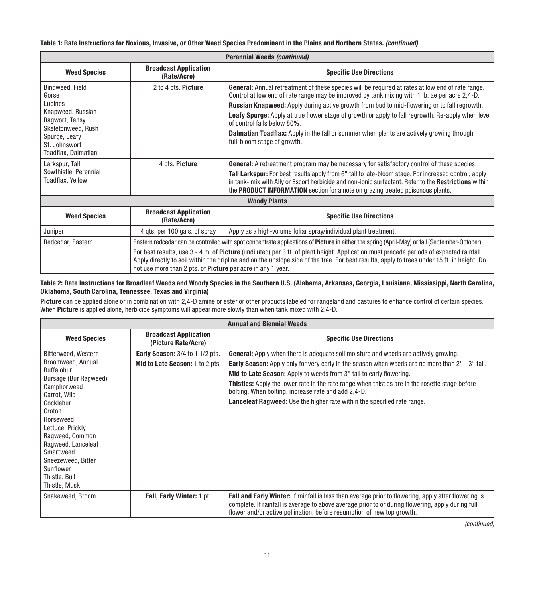#### Table 1: Rate Instructions for Noxious, Invasive, or Other Weed Species Predominant in the Plains and Northern States. *(continued)*

| Perennial Weeds (continued)                               |                                                                                                                                                                                                                                                                                                                                                              |                                                                                                                                                                                                                                                                                                  |  |
|-----------------------------------------------------------|--------------------------------------------------------------------------------------------------------------------------------------------------------------------------------------------------------------------------------------------------------------------------------------------------------------------------------------------------------------|--------------------------------------------------------------------------------------------------------------------------------------------------------------------------------------------------------------------------------------------------------------------------------------------------|--|
| <b>Weed Species</b>                                       | <b>Broadcast Application</b><br>(Rate/Acre)                                                                                                                                                                                                                                                                                                                  | <b>Specific Use Directions</b>                                                                                                                                                                                                                                                                   |  |
| Bindweed, Field<br>Gorse                                  | 2 to 4 pts. Picture                                                                                                                                                                                                                                                                                                                                          | <b>General:</b> Annual retreatment of these species will be required at rates at low end of rate range.<br>Control at low end of rate range may be improved by tank mixing with 1 lb. ae per acre 2,4-D.                                                                                         |  |
| Lupines                                                   |                                                                                                                                                                                                                                                                                                                                                              | <b>Russian Knapweed:</b> Apply during active growth from bud to mid-flowering or to fall regrowth.                                                                                                                                                                                               |  |
| Knapweed, Russian<br>Ragwort, Tansy<br>Skeletonweed, Rush |                                                                                                                                                                                                                                                                                                                                                              | Leafy Spurge: Apply at true flower stage of growth or apply to fall regrowth. Re-apply when level<br>of control falls below 80%.                                                                                                                                                                 |  |
| Spurge, Leafy<br>St. Johnswort<br>Toadflax, Dalmatian     |                                                                                                                                                                                                                                                                                                                                                              | <b>Dalmatian Toadflax:</b> Apply in the fall or summer when plants are actively growing through<br>full-bloom stage of growth.                                                                                                                                                                   |  |
| Larkspur, Tall                                            | 4 pts. Picture                                                                                                                                                                                                                                                                                                                                               | <b>General:</b> A retreatment program may be necessary for satisfactory control of these species.                                                                                                                                                                                                |  |
| Sowthistle, Perennial<br>Toadflax, Yellow                 |                                                                                                                                                                                                                                                                                                                                                              | Tall Larkspur: For best results apply from 6" tall to late-bloom stage. For increased control, apply<br>in tank- mix with Ally or Escort herbicide and non-ionic surfactant. Refer to the Restrictions within<br>the PRODUCT INFORMATION section for a note on grazing treated poisonous plants. |  |
|                                                           |                                                                                                                                                                                                                                                                                                                                                              | <b>Woody Plants</b>                                                                                                                                                                                                                                                                              |  |
| <b>Weed Species</b>                                       | <b>Broadcast Application</b><br>(Rate/Acre)                                                                                                                                                                                                                                                                                                                  | <b>Specific Use Directions</b>                                                                                                                                                                                                                                                                   |  |
| Juniper                                                   | 4 gts. per 100 gals. of spray                                                                                                                                                                                                                                                                                                                                | Apply as a high-volume foliar spray/individual plant treatment.                                                                                                                                                                                                                                  |  |
| Redcedar, Eastern                                         | Eastern redcedar can be controlled with spot concentrate applications of Picture in either the spring (April-May) or fall (September-October).                                                                                                                                                                                                               |                                                                                                                                                                                                                                                                                                  |  |
|                                                           | For best results, use 3 - 4 ml of Picture (undiluted) per 3 ft. of plant height. Application must precede periods of expected rainfall.<br>Apply directly to soil within the dripline and on the upslope side of the tree. For best results, apply to trees under 15 ft. in height. Do<br>not use more than 2 pts. of <b>Picture</b> per acre in any 1 year. |                                                                                                                                                                                                                                                                                                  |  |

#### Table 2: Rate Instructions for Broadleaf Weeds and Woody Species in the Southern U.S. (Alabama, Arkansas, Georgia, Louisiana, Mississippi, North Carolina, Oklahoma, South Carolina, Tennessee, Texas and Virginia)

Picture can be applied alone or in combination with 2,4-D amine or ester or other products labeled for rangeland and pastures to enhance control of certain species. When Picture is applied alone, herbicide symptoms will appear more slowly than when tank mixed with 2,4-D.

| <b>Annual and Biennial Weeds</b>         |                                                     |                                                                                                                                                                                                                                                                                     |  |
|------------------------------------------|-----------------------------------------------------|-------------------------------------------------------------------------------------------------------------------------------------------------------------------------------------------------------------------------------------------------------------------------------------|--|
| <b>Weed Species</b>                      | <b>Broadcast Application</b><br>(Picture Rate/Acre) | <b>Specific Use Directions</b>                                                                                                                                                                                                                                                      |  |
| Bitterweed, Western<br>Broomweed, Annual | Early Season: 3/4 to 1 1/2 pts.                     | <b>General:</b> Apply when there is adequate soil moisture and weeds are actively growing.                                                                                                                                                                                          |  |
| Buffalobur                               | Mid to Late Season: 1 to 2 pts.                     | Early Season: Apply only for very early in the season when weeds are no more than 2" - 3" tall.<br>Mid to Late Season: Apply to weeds from 3" tall to early flowering.                                                                                                              |  |
| Bursage (Bur Ragweed)                    |                                                     |                                                                                                                                                                                                                                                                                     |  |
| Camphorweed<br>Carrot, Wild              |                                                     | Thistles: Apply the lower rate in the rate range when thistles are in the rosette stage before<br>bolting. When bolting, increase rate and add 2,4-D.                                                                                                                               |  |
| Cocklebur                                |                                                     | Lanceleaf Ragweed: Use the higher rate within the specified rate range.                                                                                                                                                                                                             |  |
| Croton                                   |                                                     |                                                                                                                                                                                                                                                                                     |  |
| Horseweed                                |                                                     |                                                                                                                                                                                                                                                                                     |  |
| Lettuce, Prickly<br>Ragweed, Common      |                                                     |                                                                                                                                                                                                                                                                                     |  |
| Ragweed, Lanceleaf                       |                                                     |                                                                                                                                                                                                                                                                                     |  |
| Smartweed                                |                                                     |                                                                                                                                                                                                                                                                                     |  |
| Sneezeweed, Bitter                       |                                                     |                                                                                                                                                                                                                                                                                     |  |
| Sunflower                                |                                                     |                                                                                                                                                                                                                                                                                     |  |
| Thistle, Bull                            |                                                     |                                                                                                                                                                                                                                                                                     |  |
| Thistle, Musk                            |                                                     |                                                                                                                                                                                                                                                                                     |  |
| Snakeweed, Broom                         | Fall, Early Winter: 1 pt.                           | Fall and Early Winter: If rainfall is less than average prior to flowering, apply after flowering is<br>complete. If rainfall is average to above average prior to or during flowering, apply during full<br>flower and/or active pollination, before resumption of new top growth. |  |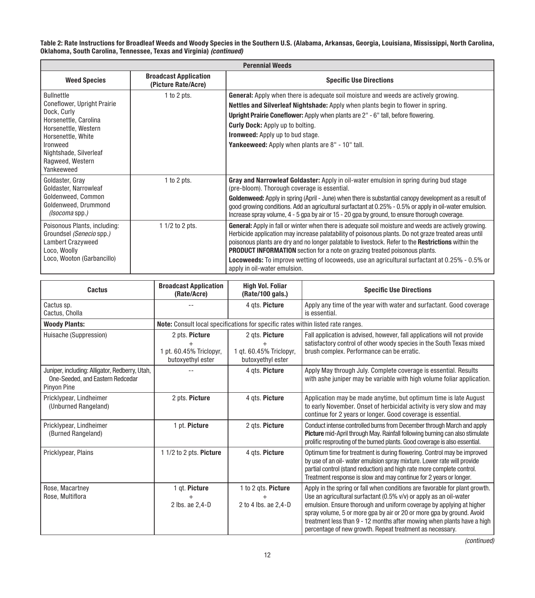Table 2: Rate Instructions for Broadleaf Weeds and Woody Species in the Southern U.S. (Alabama, Arkansas, Georgia, Louisiana, Mississippi, North Carolina,<br>Oklahoma, South Carolina, Tennessee, Texas and Virginia) *(continue* 

| <b>Perennial Weeds</b>                                                                                                                                                                                         |                                                     |                                                                                                                                                                                                                                                                                                                                                                                                                                                                                                                                                                   |  |
|----------------------------------------------------------------------------------------------------------------------------------------------------------------------------------------------------------------|-----------------------------------------------------|-------------------------------------------------------------------------------------------------------------------------------------------------------------------------------------------------------------------------------------------------------------------------------------------------------------------------------------------------------------------------------------------------------------------------------------------------------------------------------------------------------------------------------------------------------------------|--|
| <b>Weed Species</b>                                                                                                                                                                                            | <b>Broadcast Application</b><br>(Picture Rate/Acre) | <b>Specific Use Directions</b>                                                                                                                                                                                                                                                                                                                                                                                                                                                                                                                                    |  |
| <b>Bullnettle</b><br>Coneflower, Upright Prairie<br>Dock, Curly<br>Horsenettle, Carolina<br>Horsenettle, Western<br>Horsenettle, White<br>Ironweed<br>Nightshade, Silverleaf<br>Ragweed, Western<br>Yankeeweed | $1$ to $2$ pts.                                     | <b>General:</b> Apply when there is adequate soil moisture and weeds are actively growing.<br>Nettles and Silverleaf Nightshade: Apply when plants begin to flower in spring.<br>Upright Prairie Coneflower: Apply when plants are 2" - 6" tall, before flowering.<br><b>Curly Dock:</b> Apply up to bolting.<br><b>Ironweed:</b> Apply up to bud stage.<br>Yankeeweed: Apply when plants are 8" - 10" tall.                                                                                                                                                      |  |
| Goldaster, Gray<br>Goldaster, Narrowleaf<br>Goldenweed, Common<br>Goldenweed, Drummond<br>(Isocoma spp.)                                                                                                       | $1$ to $2$ pts.                                     | Gray and Narrowleaf Goldaster: Apply in oil-water emulsion in spring during bud stage<br>(pre-bloom). Thorough coverage is essential.<br>Goldenweed: Apply in spring (April - June) when there is substantial canopy development as a result of<br>good growing conditions. Add an agricultural surfactant at 0.25% - 0.5% or apply in oil-water emulsion.<br>Increase spray volume, 4 - 5 gpa by air or 15 - 20 gpa by ground, to ensure thorough coverage.                                                                                                      |  |
| Poisonous Plants, including:<br>Groundsel (Senecio spp.)<br><b>Lambert Crazyweed</b><br>Loco, Woolly<br>Loco, Wooton (Garbancillo)                                                                             | 1 1/2 to 2 pts.                                     | <b>General:</b> Apply in fall or winter when there is adequate soil moisture and weeds are actively growing.<br>Herbicide application may increase palatability of poisonous plants. Do not graze treated areas until<br>poisonous plants are dry and no longer palatable to livestock. Refer to the <b>Restrictions</b> within the<br><b>PRODUCT INFORMATION</b> section for a note on grazing treated poisonous plants.<br><b>Locoweeds:</b> To improve wetting of locoweeds, use an agricultural surfactant at 0.25% - 0.5% or<br>apply in oil-water emulsion. |  |

| Cactus                                                                                            | <b>Broadcast Application</b><br>(Rate/Acre)                    | <b>High Vol. Foliar</b><br>(Rate/100 gals.)                                      | <b>Specific Use Directions</b>                                                                                                                                                                                                                                                                                                                                                                                                           |
|---------------------------------------------------------------------------------------------------|----------------------------------------------------------------|----------------------------------------------------------------------------------|------------------------------------------------------------------------------------------------------------------------------------------------------------------------------------------------------------------------------------------------------------------------------------------------------------------------------------------------------------------------------------------------------------------------------------------|
| Cactus sp.<br>Cactus, Cholla                                                                      |                                                                | 4 ats. Picture                                                                   | Apply any time of the year with water and surfactant. Good coverage<br>is essential.                                                                                                                                                                                                                                                                                                                                                     |
| <b>Woody Plants:</b>                                                                              |                                                                | Note: Consult local specifications for specific rates within listed rate ranges. |                                                                                                                                                                                                                                                                                                                                                                                                                                          |
| Huisache (Suppression)                                                                            | 2 pts. Picture<br>1 pt. 60.45% Triclopyr,<br>butoxyethyl ester | 2 ats. Picture<br>1 gt. 60.45% Triclopyr,<br>butoxyethyl ester                   | Fall application is advised, however, fall applications will not provide<br>satisfactory control of other woody species in the South Texas mixed<br>brush complex. Performance can be erratic.                                                                                                                                                                                                                                           |
| Juniper, including: Alligator, Redberry, Utah,<br>One-Seeded, and Eastern Redcedar<br>Pinyon Pine |                                                                | 4 ats. Picture                                                                   | Apply May through July. Complete coverage is essential. Results<br>with ashe juniper may be variable with high volume foliar application.                                                                                                                                                                                                                                                                                                |
| Pricklypear, Lindheimer<br>(Unburned Rangeland)                                                   | 2 pts. Picture                                                 | 4 ats. Picture                                                                   | Application may be made anytime, but optimum time is late August<br>to early November. Onset of herbicidal activity is very slow and may<br>continue for 2 years or longer. Good coverage is essential.                                                                                                                                                                                                                                  |
| Pricklypear, Lindheimer<br>(Burned Rangeland)                                                     | 1 pt. Picture                                                  | 2 ats. Picture                                                                   | Conduct intense controlled burns from December through March and apply<br>Picture mid-April through May. Rainfall following burning can also stimulate<br>prolific resprouting of the burned plants. Good coverage is also essential.                                                                                                                                                                                                    |
| Pricklypear, Plains                                                                               | 1 1/2 to 2 pts. Picture                                        | 4 gts. Picture                                                                   | Optimum time for treatment is during flowering. Control may be improved<br>by use of an oil- water emulsion spray mixture. Lower rate will provide<br>partial control (stand reduction) and high rate more complete control.<br>Treatment response is slow and may continue for 2 years or longer.                                                                                                                                       |
| Rose, Macartney<br>Rose, Multiflora                                                               | 1 qt. Picture<br>2 lbs. ae 2,4-D                               | 1 to 2 gts. Picture<br>2 to 4 lbs. ae 2.4-D                                      | Apply in the spring or fall when conditions are favorable for plant growth.<br>Use an agricultural surfactant (0.5% v/v) or apply as an oil-water<br>emulsion. Ensure thorough and uniform coverage by applying at higher<br>spray volume, 5 or more gpa by air or 20 or more gpa by ground. Avoid<br>treatment less than 9 - 12 months after mowing when plants have a high<br>percentage of new growth. Repeat treatment as necessary. |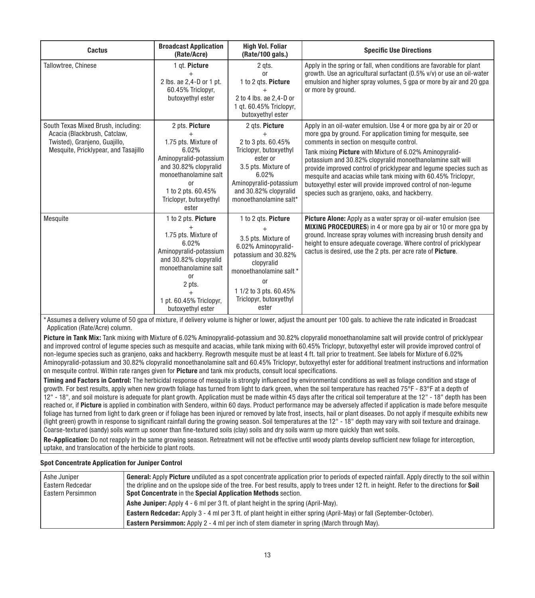| Cactus                                                                                                                                       | <b>Broadcast Application</b><br>(Rate/Acre)                                                                                                                                                                 | <b>High Vol. Foliar</b><br>(Rate/100 gals.)                                                                                                                                                                      | <b>Specific Use Directions</b>                                                                                                                                                                                                                                                                                                                                                                                                                                                                                                                                   |
|----------------------------------------------------------------------------------------------------------------------------------------------|-------------------------------------------------------------------------------------------------------------------------------------------------------------------------------------------------------------|------------------------------------------------------------------------------------------------------------------------------------------------------------------------------------------------------------------|------------------------------------------------------------------------------------------------------------------------------------------------------------------------------------------------------------------------------------------------------------------------------------------------------------------------------------------------------------------------------------------------------------------------------------------------------------------------------------------------------------------------------------------------------------------|
| Tallowtree, Chinese                                                                                                                          | 1 gt. Picture<br>2 lbs. ae 2,4-D or 1 pt.<br>60.45% Triclopyr,<br>butoxyethyl ester                                                                                                                         | 2 gts.<br><sub>0r</sub><br>1 to 2 gts. Picture<br>2 to 4 lbs. ae 2.4-D or<br>1 gt. 60.45% Triclopyr,<br>butoxyethyl ester                                                                                        | Apply in the spring or fall, when conditions are favorable for plant<br>growth. Use an agricultural surfactant (0.5% v/v) or use an oil-water<br>emulsion and higher spray volumes, 5 gpa or more by air and 20 gpa<br>or more by ground.                                                                                                                                                                                                                                                                                                                        |
| South Texas Mixed Brush, including:<br>Acacia (Blackbrush, Catclaw,<br>Twisted), Granjeno, Guajillo,<br>Mesquite, Pricklypear, and Tasajillo | 2 pts. Picture<br>1.75 pts. Mixture of<br>6.02%<br>Aminopyralid-potassium<br>and 30.82% clopyralid<br>monoethanolamine salt<br><sub>0r</sub><br>1 to 2 pts, 60,45%<br>Triclopyr, butoxyethyl<br>ester       | 2 gts. Picture<br>2 to 3 pts. 60.45%<br>Triclopyr, butoxyethyl<br>ester or<br>3.5 pts. Mixture of<br>6.02%<br>Aminopyralid-potassium<br>and 30.82% clopyralid<br>monoethanolamine salt*                          | Apply in an oil-water emulsion. Use 4 or more gpa by air or 20 or<br>more gpa by ground. For application timing for mesquite, see<br>comments in section on mesquite control.<br>Tank mixing Picture with Mixture of 6.02% Aminopyralid-<br>potassium and 30.82% clopyralid monoethanolamine salt will<br>provide improved control of pricklypear and legume species such as<br>mesquite and acacias while tank mixing with 60.45% Triclopyr,<br>butoxyethyl ester will provide improved control of non-leaume<br>species such as granjeno, oaks, and hackberry. |
| Mesquite                                                                                                                                     | 1 to 2 pts. Picture<br>1.75 pts. Mixture of<br>6.02%<br>Aminopyralid-potassium<br>and 30.82% clopyralid<br>monoethanolamine salt<br><sub>0r</sub><br>2 pts.<br>1 pt. 60.45% Triclopyr,<br>butoxyethyl ester | 1 to 2 gts. Picture<br>3.5 pts. Mixture of<br>6.02% Aminopyralid-<br>potassium and 30.82%<br>clopyralid<br>monoethanolamine salt *<br><sub>or</sub><br>1 1/2 to 3 pts. 60.45%<br>Triclopyr, butoxyethyl<br>ester | Picture Alone: Apply as a water spray or oil-water emulsion (see<br><b>MIXING PROCEDURES</b> ) in 4 or more gpa by air or 10 or more gpa by<br>ground. Increase spray volumes with increasing brush density and<br>height to ensure adequate coverage. Where control of pricklypear<br>cactus is desired, use the 2 pts. per acre rate of <b>Picture</b> .                                                                                                                                                                                                       |

\* Assumes a delivery volume of 50 gpa of mixture, if delivery volume is higher or lower, adjust the amount per 100 gals. to achieve the rate indicated in Broadcast Application (Rate/Acre) column.

Picture in Tank Mix: Tank mixing with Mixture of 6.02% Aminopyralid-potassium and 30.82% clopyralid monoethanolamine salt will provide control of pricklypear and improved control of legume species such as mesquite and acacias, while tank mixing with 60.45% Triclopyr, butoxyethyl ester will provide improved control of non-legume species such as granjeno, oaks and hackberry. Regrowth mesquite must be at least 4 ft. tall prior to treatment. See labels for Mixture of 6.02% Aminopyralid-potassium and 30.82% clopyralid monoethanolamine salt and 60.45% Triclopyr, butoxyethyl ester for additional treatment instructions and information on mesquite control. Within rate ranges given for Picture and tank mix products, consult local specifications.

Timing and Factors in Control: The herbicidal response of mesquite is strongly influenced by environmental conditions as well as foliage condition and stage of growth. For best results, apply when new growth foliage has turned from light to dark green, when the soil temperature has reached 75°F - 83°F at a depth of 12" - 18", and soil moisture is adequate for plant growth. Application must be made within 45 days after the critical soil temperature at the 12" - 18" depth has been reached or, if Picture is applied in combination with Sendero, within 60 days. Product performance may be adversely affected if application is made before mesquite foliage has turned from light to dark green or if foliage has been injured or removed by late frost, insects, hail or plant diseases. Do not apply if mesquite exhibits new (light green) growth in response to significant rainfall during the growing season. Soil temperatures at the 12" - 18" depth may vary with soil texture and drainage. Coarse-textured (sandy) soils warm up sooner than fine-textured soils (clay) soils and dry soils warm up more quickly than wet soils.

Re-Application: Do not reapply in the same growing season. Retreatment will not be effective until woody plants develop sufficient new foliage for interception. uptake, and translocation of the herbicide to plant roots.

#### Spot Concentrate Application for Juniper Control

| Ashe Juniper      | <b>General:</b> Apply Picture undiluted as a spot concentrate application prior to periods of expected rainfall. Apply directly to the soil within |
|-------------------|----------------------------------------------------------------------------------------------------------------------------------------------------|
| Eastern Redcedar  | the dripline and on the upslope side of the tree. For best results, apply to trees under 12 ft. in height. Refer to the directions for Soil        |
| Eastern Persimmon | Spot Concentrate in the Special Application Methods section.                                                                                       |
|                   | Ashe Juniper: Apply 4 - 6 ml per 3 ft. of plant height in the spring (April-May).                                                                  |
|                   | Eastern Redcedar: Apply 3 - 4 ml per 3 ft. of plant height in either spring (April-May) or fall (September-October).                               |
|                   | <b>Eastern Persimmon:</b> Apply 2 - 4 ml per inch of stem diameter in spring (March through May).                                                  |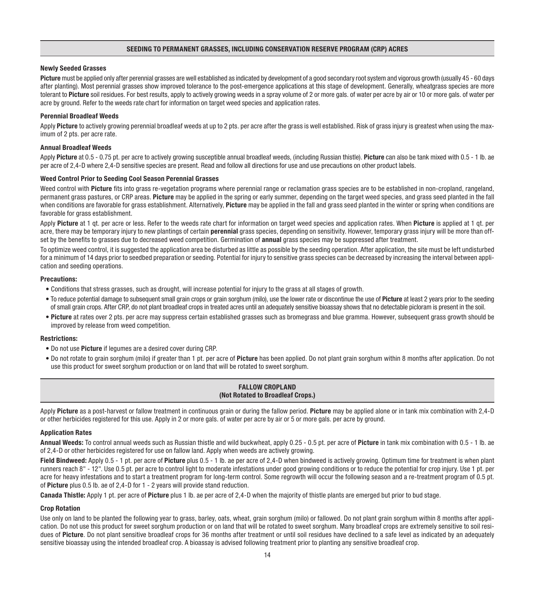#### SEEDING TO PERMANENT GRASSES, INCLUDING CONSERVATION RESERVE PROGRAM (CRP) ACRES

#### Newly Seeded Grasses

Picture must be applied only after perennial grasses are well established as indicated by development of a good secondary root system and vigorous growth (usually 45 - 60 days after planting). Most perennial grasses show improved tolerance to the post-emergence applications at this stage of development. Generally, wheatgrass species are more tolerant to Picture soil residues. For best results, apply to actively growing weeds in a spray volume of 2 or more gals. of water per acre by air or 10 or more gals. of water per acre by ground. Refer to the weeds rate chart for information on target weed species and application rates.

#### Perennial Broadleaf Weeds

Apply Picture to actively growing perennial broadleaf weeds at up to 2 pts. per acre after the grass is well established. Risk of grass injury is greatest when using the maximum of 2 pts. per acre rate.

#### Annual Broadleaf Weeds

Apply Picture at 0.5 - 0.75 pt. per acre to actively growing susceptible annual broadleaf weeds, (including Russian thistle). Picture can also be tank mixed with 0.5 - 1 lb. ae per acre of 2,4-D where 2,4-D sensitive species are present. Read and follow all directions for use and use precautions on other product labels.

#### Weed Control Prior to Seeding Cool Season Perennial Grasses

Weed control with Picture fits into grass re-vegetation programs where perennial range or reclamation grass species are to be established in non-cropland, rangeland, permanent grass pastures, or CRP areas. Picture may be applied in the spring or early summer, depending on the target weed species, and grass seed planted in the fall when conditions are favorable for grass establishment. Alternatively, Picture may be applied in the fall and grass seed planted in the winter or spring when conditions are favorable for grass establishment.

Apply Picture at 1 qt. per acre or less. Refer to the weeds rate chart for information on target weed species and application rates. When Picture is applied at 1 qt. per acre, there may be temporary injury to new plantings of certain **perennial** grass species, depending on sensitivity. However, temporary grass injury will be more than offset by the benefits to grasses due to decreased weed competition. Germination of **annual** grass species may be suppressed after treatment.

To optimize weed control, it is suggested the application area be disturbed as little as possible by the seeding operation. After application, the site must be left undisturbed for a minimum of 14 days prior to seedbed preparation or seeding. Potential for injury to sensitive grass species can be decreased by increasing the interval between application and seeding operations.

#### Precautions:

- Conditions that stress grasses, such as drought, will increase potential for injury to the grass at all stages of growth.
- To reduce potential damage to subsequent small grain crops or grain sorghum (milo), use the lower rate or discontinue the use of Picture at least 2 years prior to the seeding of small grain crops. After CRP, do not plant broadleaf crops in treated acres until an adequately sensitive bioassay shows that no detectable picloram is present in the soil.
- Picture at rates over 2 pts, per acre may suppress certain established grasses such as bromegrass and blue gramma. However, subsequent grass growth should be improved by release from weed competition.

#### Restrictions:

- Do not use Picture if legumes are a desired cover during CRP.
- Do not rotate to grain sorghum (milo) if greater than 1 pt. per acre of Picture has been applied. Do not plant grain sorghum within 8 months after application. Do not use this product for sweet sorghum production or on land that will be rotated to sweet sorghum.

#### FALLOW CROPLAND (Not Rotated to Broadleaf Crops.)

Apply Picture as a post-harvest or fallow treatment in continuous grain or during the fallow period. Picture may be applied alone or in tank mix combination with 2.4-D or other herbicides registered for this use. Apply in 2 or more gals. of water per acre by air or 5 or more gals. per acre by ground.

#### Application Rates

Annual Weeds: To control annual weeds such as Russian thistle and wild buckwheat, apply 0.25 - 0.5 pt. per acre of Picture in tank mix combination with 0.5 - 1 lb. ae of 2,4-D or other herbicides registered for use on fallow land. Apply when weeds are actively growing.

Field Bindweed: Apply 0.5 - 1 pt. per acre of Picture plus 0.5 - 1 lb. ae per acre of 2,4-D when bindweed is actively growing. Optimum time for treatment is when plant runners reach 8" - 12". Use 0.5 pt. per acre to control light to moderate infestations under good growing conditions or to reduce the potential for crop injury. Use 1 pt. per acre for heavy infestations and to start a treatment program for long-term control. Some regrowth will occur the following season and a re-treatment program of 0.5 pt. of Picture plus 0.5 lb. ae of 2,4-D for 1 - 2 years will provide stand reduction.

Canada Thistle: Apply 1 pt. per acre of Picture plus 1 lb. ae per acre of 2,4-D when the majority of thistle plants are emerged but prior to bud stage.

#### Crop Rotation

Use only on land to be planted the following year to grass, barley, oats, wheat, grain sorghum (milo) or fallowed. Do not plant grain sorghum within 8 months after application. Do not use this product for sweet sorghum production or on land that will be rotated to sweet sorghum. Many broadleaf crops are extremely sensitive to soil residues of Picture. Do not plant sensitive broadleaf crops for 36 months after treatment or until soil residues have declined to a safe level as indicated by an adequately sensitive bioassay using the intended broadleaf crop. A bioassay is advised following treatment prior to planting any sensitive broadleaf crop.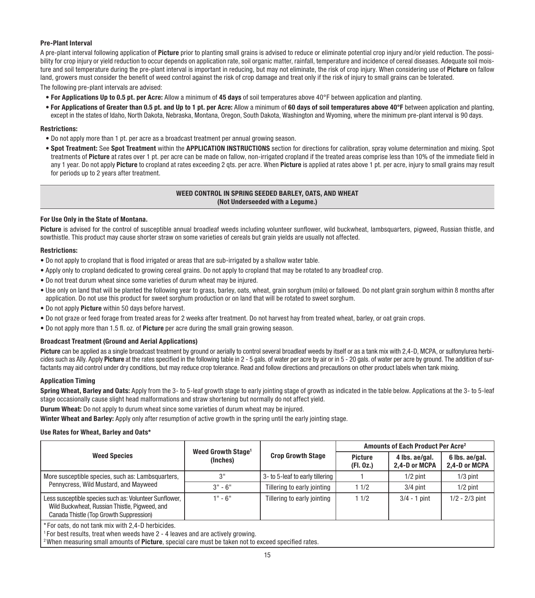#### Pre-Plant Interval

A pre-plant interval following application of Picture prior to planting small grains is advised to reduce or eliminate potential crop injury and/or yield reduction. The possibility for crop injury or yield reduction to occur depends on application rate, soil organic matter, rainfall, temperature and incidence of cereal diseases. Adequate soil moisture and soil temperature during the pre-plant interval is important in reducing, but may not eliminate, the risk of crop injury. When considering use of Picture on fallow land, growers must consider the benefit of weed control against the risk of crop damage and treat only if the risk of injury to small grains can be tolerated. The following pre-plant intervals are advised:

- For Applications Up to 0.5 pt. per Acre: Allow a minimum of 45 days of soil temperatures above 40°F between application and planting.
- For Applications of Greater than 0.5 pt. and Up to 1 pt. per Acre: Allow a minimum of 60 days of soil temperatures above 40°F between application and planting, except in the states of Idaho, North Dakota, Nebraska, Montana, Oregon, South Dakota, Washington and Wyoming, where the minimum pre-plant interval is 90 days.

#### Restrictions:

- Do not apply more than 1 pt. per acre as a broadcast treatment per annual growing season.
- Spot Treatment: See Spot Treatment within the APPLICATION INSTRUCTIONS section for directions for calibration, spray volume determination and mixing. Spot treatments of Picture at rates over 1 pt. per acre can be made on fallow, non-irrigated cropland if the treated areas comprise less than 10% of the immediate field in any 1 year. Do not apply Picture to cropland at rates exceeding 2 gts, per acre. When Picture is applied at rates above 1 pt. per acre, injury to small grains may result for periods up to 2 years after treatment.

#### WEED CONTROL IN SPRING SEEDED BARLEY, OATS, AND WHEAT (Not Underseeded with a Legume.)

#### For Use Only in the State of Montana.

Picture is advised for the control of susceptible annual broadleaf weeds including volunteer sunflower, wild buckwheat, lambsquarters, pigweed, Russian thistle, and sowthistle. This product may cause shorter straw on some varieties of cereals but grain yields are usually not affected.

#### Restrictions:

- Do not apply to cropland that is flood irrigated or areas that are sub-irrigated by a shallow water table.
- Apply only to cropland dedicated to growing cereal grains. Do not apply to cropland that may be rotated to any broadleaf crop.
- Do not treat durum wheat since some varieties of durum wheat may be injured.
- Use only on land that will be planted the following year to grass, barley, oats, wheat, grain sorghum (milo) or fallowed. Do not plant grain sorghum within 8 months after application. Do not use this product for sweet sorghum production or on land that will be rotated to sweet sorghum.
- Do not apply Picture within 50 days before harvest.
- Do not graze or feed forage from treated areas for 2 weeks after treatment. Do not harvest hay from treated wheat, barley, or oat grain crops.
- Do not apply more than 1.5 fl. oz. of **Picture** per acre during the small grain growing season.

#### Broadcast Treatment (Ground and Aerial Applications)

Picture can be applied as a single broadcast treatment by ground or aerially to control several broadleaf weeds by itself or as a tank mix with 2,4-D. MCPA, or sulfonylurea herbicides such as Ally. Apply Picture at the rates specified in the following table in 2 - 5 gals. of water per acre by air or in 5 - 20 gals. of water per acre by ground. The addition of surfactants may aid control under dry conditions, but may reduce crop tolerance. Read and follow directions and precautions on other product labels when tank mixing.

#### Application Timing

Spring Wheat, Barley and Oats: Apply from the 3- to 5-leaf growth stage to early jointing stage of growth as indicated in the table below. Applications at the 3- to 5-leaf stage occasionally cause slight head malformations and straw shortening but normally do not affect yield.

Durum Wheat: Do not apply to durum wheat since some varieties of durum wheat may be injured.

Winter Wheat and Barley: Apply only after resumption of active growth in the spring until the early jointing stage.

#### Use Rates for Wheat, Barley and Oats\*

| <b>Weed Species</b>                                                                                                                                | Weed Growth Stage <sup>1</sup><br>(Inches) | <b>Crop Growth Stage</b>        | Amounts of Each Product Per Acre <sup>2</sup> |                                 |                                 |
|----------------------------------------------------------------------------------------------------------------------------------------------------|--------------------------------------------|---------------------------------|-----------------------------------------------|---------------------------------|---------------------------------|
|                                                                                                                                                    |                                            |                                 | Picture<br>(Fl. 0z.)                          | 4 lbs. ae/gal.<br>2.4-D or MCPA | 6 lbs. ae/gal.<br>2.4-D or MCPA |
| More susceptible species, such as: Lambsquarters,<br>Pennycress, Wild Mustard, and Mayweed                                                         | 3"                                         | 3- to 5-leaf to early tillering |                                               | $1/2$ pint                      | $1/3$ pint                      |
|                                                                                                                                                    | $3" - 6"$                                  | Tillering to early jointing     | 11/2                                          | $3/4$ pint                      | $1/2$ pint                      |
| Less susceptible species such as: Volunteer Sunflower,<br>Wild Buckwheat, Russian Thistle, Pigweed, and<br>Canada Thistle (Top Growth Suppression) | $1" - 6"$                                  | Tillering to early jointing     | 11/2                                          | $3/4 - 1$ pint                  | $1/2 - 2/3$ pint                |
| *For oats, do not tank mix with 2.4-D herbicides.                                                                                                  |                                            |                                 |                                               |                                 |                                 |

\* For oats, do not tank mix with 2,4-D herbicides.

 $1$  For best results, treat when weeds have 2 - 4 leaves and are actively growing.

<sup>2</sup> When measuring small amounts of **Picture**, special care must be taken not to exceed specified rates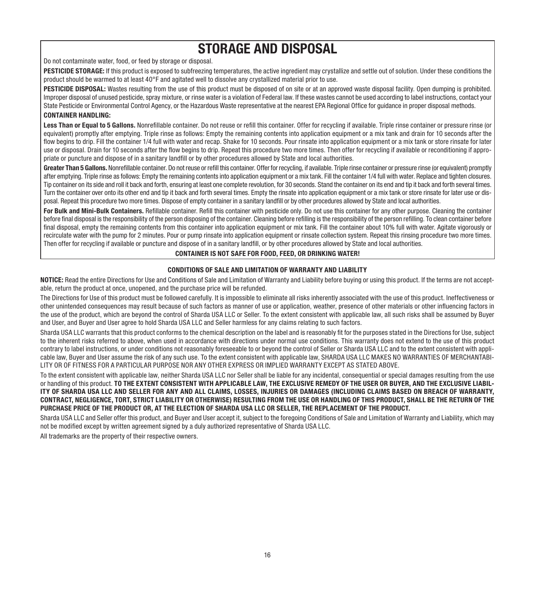## STORAGE AND DISPOSAL

Do not contaminate water, food, or feed by storage or disposal.

PESTICIDE STORAGE: If this product is exposed to subfreezing temperatures, the active ingredient may crystallize and settle out of solution. Under these conditions the product should be warmed to at least 40°F and agitated well to dissolve any crystallized material prior to use.

PESTICIDE DISPOSAL: Wastes resulting from the use of this product must be disposed of on site or at an approved waste disposal facility. Open dumping is prohibited. Improper disposal of unused pesticide, spray mixture, or rinse water is a violation of Federal law. If these wastes cannot be used according to label instructions, contact your State Pesticide or Environmental Control Agency, or the Hazardous Waste representative at the nearest EPA Regional Office for guidance in proper disposal methods.

#### CONTAINER HANDLING:

Less Than or Equal to 5 Gallons. Nonrefillable container. Do not reuse or refill this container. Offer for recycling if available. Triple rinse container or pressure rinse (or equivalent) promptly after emptying. Triple rinse as follows: Empty the remaining contents into application equipment or a mix tank and drain for 10 seconds after the flow begins to drip. Fill the container 1/4 full with water and recap. Shake for 10 seconds. Pour rinsate into application equipment or a mix tank or store rinsate for later use or disposal. Drain for 10 seconds after the flow begins to drip. Repeat this procedure two more times. Then offer for recycling if available or reconditioning if appropriate or puncture and dispose of in a sanitary landfill or by other procedures allowed by State and local authorities.

Greater Than 5 Gallons. Nonrefillable container. Do not reuse or refill this container. Offer for recycling, if available. Triple rinse container or pressure rinse (or equivalent) promptly after emptying. Triple rinse as follows: Empty the remaining contents into application equipment or a mix tank. Fill the container 1/4 full with water. Replace and tighten closures. Tip container on its side and roll it back and forth, ensuring at least one complete revolution, for 30 seconds. Stand the container on its end and tip it back and forth several times. Turn the container over onto its other end and tip it back and forth several times. Empty the rinsate into application equipment or a mix tank or store rinsate for later use or disposal. Repeat this procedure two more times. Dispose of empty container in a sanitary landfill or by other procedures allowed by State and local authorities.

For Bulk and Mini-Bulk Containers. Refillable container. Refill this container with pesticide only. Do not use this container for any other purpose. Cleaning the container before final disposal is the responsibility of the person disposing of the container. Cleaning before refilling is the responsibility of the person refilling. To clean container before final disposal, empty the remaining contents from this container into application equipment or mix tank. Fill the container about 10% full with water. Agitate vigorously or recirculate water with the pump for 2 minutes. Pour or pump rinsate into application equipment or rinsate collection system. Repeat this rinsing procedure two more times. Then offer for recycling if available or puncture and dispose of in a sanitary landfill, or by other procedures allowed by State and local authorities.

#### CONTAINER IS NOT SAFE FOR FOOD, FEED, OR DRINKING WATER!

#### CONDITIONS OF SALE AND LIMITATION OF WARRANTY AND LIABILITY

NOTICE: Read the entire Directions for Use and Conditions of Sale and Limitation of Warranty and Liability before buying or using this product. If the terms are not acceptable, return the product at once, unopened, and the purchase price will be refunded.

The Directions for Use of this product must be followed carefully. It is impossible to eliminate all risks inherently associated with the use of this product. Ineffectiveness or other unintended consequences may result because of such factors as manner of use or application, weather, presence of other materials or other influencing factors in the use of the product, which are beyond the control of Sharda USA LLC or Seller. To the extent consistent with applicable law, all such risks shall be assumed by Buyer and User, and Buyer and User agree to hold Sharda USA LLC and Seller harmless for any claims relating to such factors.

Sharda USA LLC warrants that this product conforms to the chemical description on the label and is reasonably fit for the purposes stated in the Directions for Use, subject to the inherent risks referred to above, when used in accordance with directions under normal use conditions. This warranty does not extend to the use of this product contrary to label instructions, or under conditions not reasonably foreseeable to or beyond the control of Seller or Sharda USA LLC and to the extent consistent with applicable law, Buyer and User assume the risk of any such use. To the extent consistent with applicable law, SHARDA USA LLC MAKES NO WARRANTIES OF MERCHANTABI-LITY OR OF FITNESS FOR A PARTICULAR PURPOSE NOR ANY OTHER EXPRESS OR IMPLIED WARRANTY EXCEPT AS STATED ABOVE.

To the extent consistent with applicable law, neither Sharda USA LLC nor Seller shall be liable for any incidental, consequential or special damages resulting from the use or handling of this product. TO THE EXTENT CONSISTENT WITH APPLICABLE LAW, THE EXCLUSIVE REMEDY OF THE USER OR BUYER, AND THE EXCLUSIVE LIABIL-ITY OF SHARDA USA LLC AND SELLER FOR ANY AND ALL CLAIMS, LOSSES, INJURIES OR DAMAGES (INCLUDING CLAIMS BASED ON BREACH OF WARRANTY, CONTRACT, NEGLIGENCE, TORT, STRICT LIABILITY OR OTHERWISE) RESULTING FROM THE USE OR HANDLING OF THIS PRODUCT, SHALL BE THE RETURN OF THE PURCHASE PRICE OF THE PRODUCT OR, AT THE ELECTION OF SHARDA USA LLC OR SELLER, THE REPLACEMENT OF THE PRODUCT.

Sharda USA LLC and Seller offer this product, and Buyer and User accept it, subject to the foregoing Conditions of Sale and Limitation of Warranty and Liability, which may not be modified except by written agreement signed by a duly authorized representative of Sharda USA LLC.

All trademarks are the property of their respective owners.